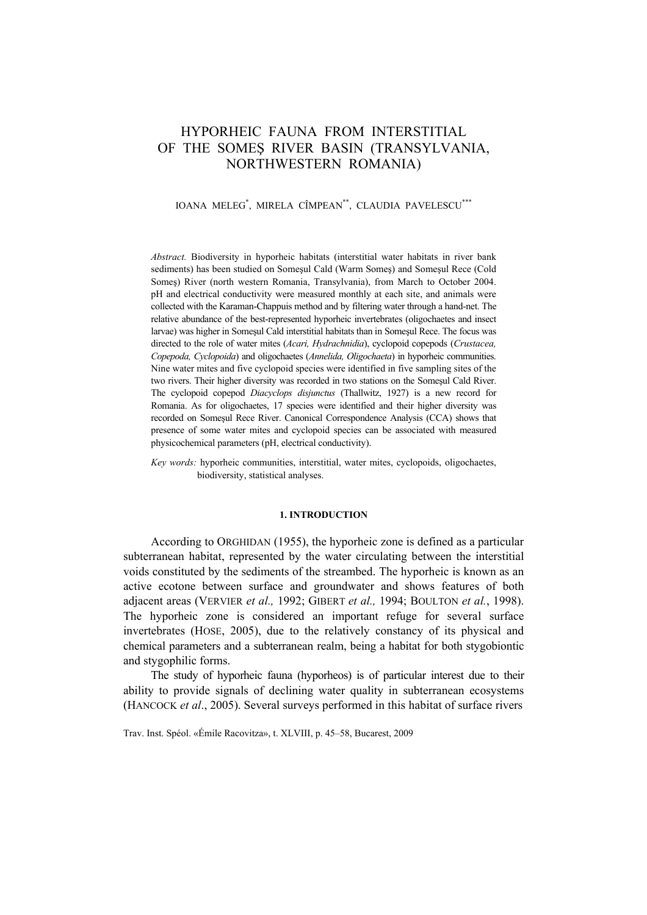# HYPORHEIC FAUNA FROM INTERSTITIAL OF THE SOMEŞ RIVER BASIN (TRANSYLVANIA, NORTHWESTERN ROMANIA)

### IOANA MELEG\* , MIRELA CÎMPEAN\*\*, CLAUDIA PAVELESCU\*\*\*

*Abstract.* Biodiversity in hyporheic habitats (interstitial water habitats in river bank sediments) has been studied on Someşul Cald (Warm Someş) and Someşul Rece (Cold Someş) River (north western Romania, Transylvania), from March to October 2004. pH and electrical conductivity were measured monthly at each site, and animals were collected with the Karaman-Chappuis method and by filtering water through a hand-net. The relative abundance of the best-represented hyporheic invertebrates (oligochaetes and insect larvae) was higher in Someşul Cald interstitial habitats than in Someşul Rece. The focus was directed to the role of water mites (*Acari, Hydrachnidia*), cyclopoid copepods (*Crustacea, Copepoda, Cyclopoida*) and oligochaetes (*Annelida, Oligochaeta*) in hyporheic communities. Nine water mites and five cyclopoid species were identified in five sampling sites of the two rivers. Their higher diversity was recorded in two stations on the Someşul Cald River. The cyclopoid copepod *Diacyclops disjunctus* (Thallwitz, 1927) is a new record for Romania. As for oligochaetes, 17 species were identified and their higher diversity was recorded on Someşul Rece River. Canonical Correspondence Analysis (CCA) shows that presence of some water mites and cyclopoid species can be associated with measured physicochemical parameters (pH, electrical conductivity).

*Key words:* hyporheic communities, interstitial, water mites, cyclopoids, oligochaetes, biodiversity, statistical analyses.

#### **1. INTRODUCTION**

According to ORGHIDAN (1955), the hyporheic zone is defined as a particular subterranean habitat, represented by the water circulating between the interstitial voids constituted by the sediments of the streambed. The hyporheic is known as an active ecotone between surface and groundwater and shows features of both adjacent areas (VERVIER *et al.,* 1992; GIBERT *et al.,* 1994; BOULTON *et al.*, 1998). The hyporheic zone is considered an important refuge for several surface invertebrates (HOSE, 2005), due to the relatively constancy of its physical and chemical parameters and a subterranean realm, being a habitat for both stygobiontic and stygophilic forms.

The study of hyporheic fauna (hyporheos) is of particular interest due to their ability to provide signals of declining water quality in subterranean ecosystems (HANCOCK *et al*., 2005). Several surveys performed in this habitat of surface rivers

Trav. Inst. Spéol. «Émile Racovitza», t. XLVIII, p. 45–58, Bucarest, 2009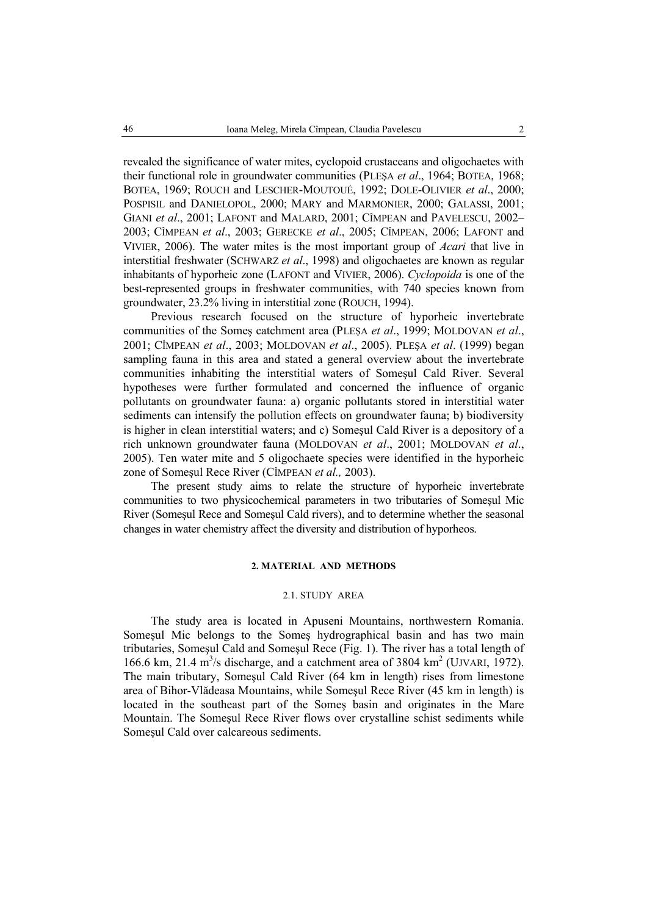revealed the significance of water mites, cyclopoid crustaceans and oligochaetes with their functional role in groundwater communities (PLEŞA *et al*., 1964; BOTEA, 1968; BOTEA, 1969; ROUCH and LESCHER-MOUTOUÉ, 1992; DOLE-OLIVIER *et al*., 2000; POSPISIL and DANIELOPOL, 2000; MARY and MARMONIER, 2000; GALASSI, 2001; GIANI *et al*., 2001; LAFONT and MALARD, 2001; CÎMPEAN and PAVELESCU, 2002– 2003; CÎMPEAN *et al*., 2003; GERECKE *et al*., 2005; CÎMPEAN, 2006; LAFONT and VIVIER, 2006). The water mites is the most important group of *Acari* that live in interstitial freshwater (SCHWARZ *et al*., 1998) and oligochaetes are known as regular inhabitants of hyporheic zone (LAFONT and VIVIER, 2006). *Cyclopoida* is one of the best-represented groups in freshwater communities, with 740 species known from groundwater, 23.2% living in interstitial zone (ROUCH, 1994).

Previous research focused on the structure of hyporheic invertebrate communities of the Someş catchment area (PLEŞA *et al*., 1999; MOLDOVAN *et al*., 2001; CÎMPEAN *et al*., 2003; MOLDOVAN *et al*., 2005). PLEŞA *et al*. (1999) began sampling fauna in this area and stated a general overview about the invertebrate communities inhabiting the interstitial waters of Someşul Cald River. Several hypotheses were further formulated and concerned the influence of organic pollutants on groundwater fauna: a) organic pollutants stored in interstitial water sediments can intensify the pollution effects on groundwater fauna; b) biodiversity is higher in clean interstitial waters; and c) Someşul Cald River is a depository of a rich unknown groundwater fauna (MOLDOVAN *et al*., 2001; MOLDOVAN *et al*., 2005). Ten water mite and 5 oligochaete species were identified in the hyporheic zone of Someşul Rece River (CÎMPEAN *et al.,* 2003).

The present study aims to relate the structure of hyporheic invertebrate communities to two physicochemical parameters in two tributaries of Someşul Mic River (Someşul Rece and Someşul Cald rivers), and to determine whether the seasonal changes in water chemistry affect the diversity and distribution of hyporheos.

### **2. MATERIAL AND METHODS**

#### 2.1. STUDY AREA

The study area is located in Apuseni Mountains, northwestern Romania. Someşul Mic belongs to the Someş hydrographical basin and has two main tributaries, Someşul Cald and Someşul Rece (Fig. 1). The river has a total length of 166.6 km, 21.4 m<sup>3</sup>/s discharge, and a catchment area of 3804 km<sup>2</sup> (UJVARI, 1972). The main tributary, Someşul Cald River (64 km in length) rises from limestone area of Bihor-Vlădeasa Mountains, while Someşul Rece River (45 km in length) is located in the southeast part of the Someş basin and originates in the Mare Mountain. The Someşul Rece River flows over crystalline schist sediments while Someşul Cald over calcareous sediments.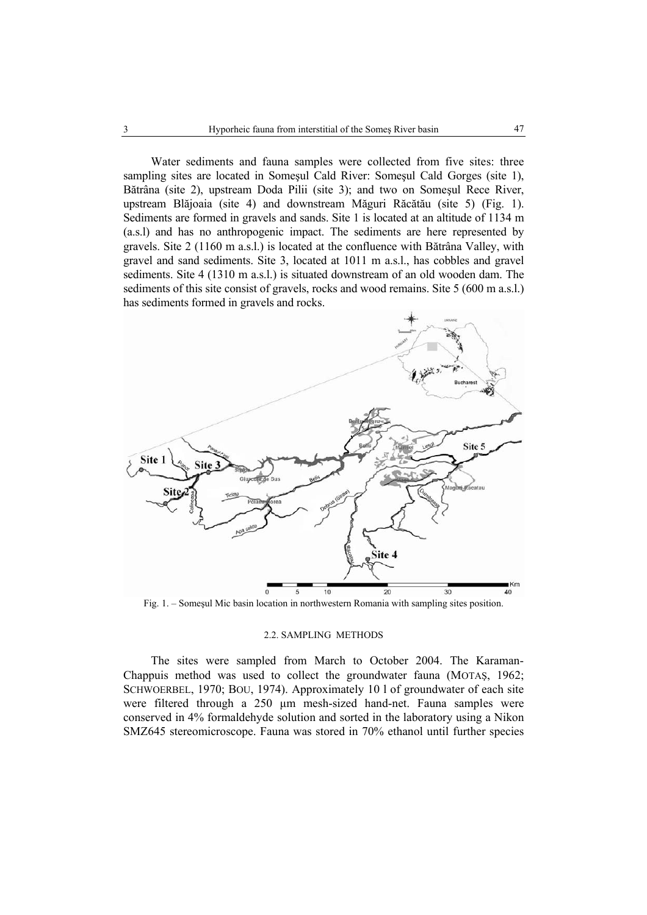Water sediments and fauna samples were collected from five sites: three sampling sites are located in Someşul Cald River: Someşul Cald Gorges (site 1), Bătrâna (site 2), upstream Doda Pilii (site 3); and two on Someşul Rece River, upstream Blăjoaia (site 4) and downstream Măguri Răcătău (site 5) (Fig. 1). Sediments are formed in gravels and sands. Site 1 is located at an altitude of 1134 m (a.s.l) and has no anthropogenic impact. The sediments are here represented by gravels. Site 2 (1160 m a.s.l.) is located at the confluence with Bătrâna Valley, with gravel and sand sediments. Site 3, located at 1011 m a.s.l., has cobbles and gravel sediments. Site 4 (1310 m a.s.l.) is situated downstream of an old wooden dam. The sediments of this site consist of gravels, rocks and wood remains. Site 5 (600 m a.s.l.) has sediments formed in gravels and rocks.



Fig. 1. – Someşul Mic basin location in northwestern Romania with sampling sites position.

#### 2.2. SAMPLING METHODS

The sites were sampled from March to October 2004. The Karaman-Chappuis method was used to collect the groundwater fauna (MOTAŞ, 1962; SCHWOERBEL, 1970; BOU, 1974). Approximately 10 l of groundwater of each site were filtered through a 250 µm mesh-sized hand-net. Fauna samples were conserved in 4% formaldehyde solution and sorted in the laboratory using a Nikon SMZ645 stereomicroscope. Fauna was stored in 70% ethanol until further species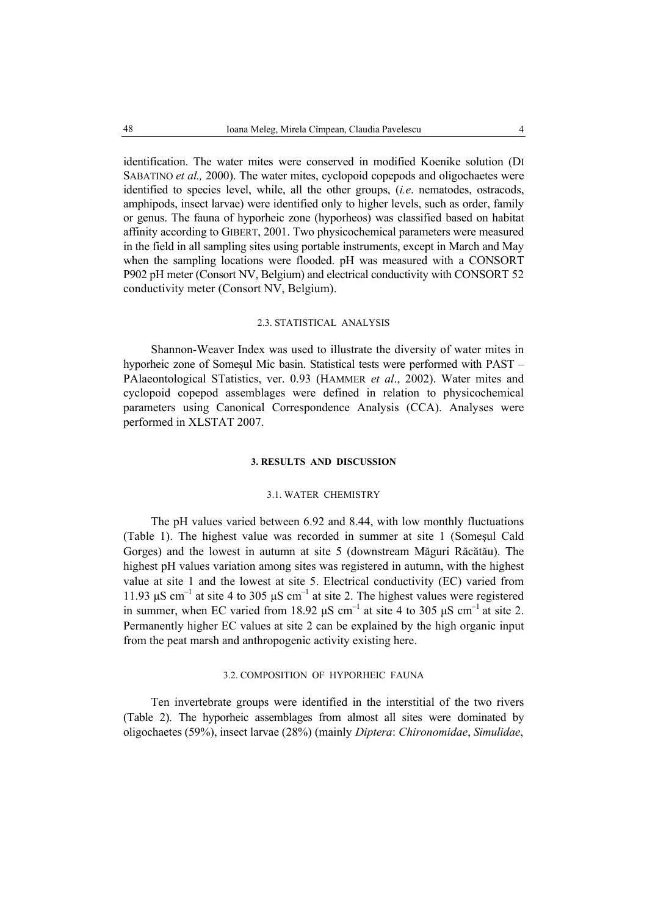identification. The water mites were conserved in modified Koenike solution (DI SABATINO *et al.,* 2000). The water mites, cyclopoid copepods and oligochaetes were identified to species level, while, all the other groups, (*i.e*. nematodes, ostracods, amphipods, insect larvae) were identified only to higher levels, such as order, family or genus. The fauna of hyporheic zone (hyporheos) was classified based on habitat affinity according to GIBERT, 2001. Two physicochemical parameters were measured in the field in all sampling sites using portable instruments, except in March and May when the sampling locations were flooded. pH was measured with a CONSORT P902 pH meter (Consort NV, Belgium) and electrical conductivity with CONSORT 52 conductivity meter (Consort NV, Belgium).

#### 2.3. STATISTICAL ANALYSIS

Shannon-Weaver Index was used to illustrate the diversity of water mites in hyporheic zone of Someşul Mic basin. Statistical tests were performed with PAST – PAlaeontological STatistics, ver. 0.93 (HAMMER *et al*., 2002). Water mites and cyclopoid copepod assemblages were defined in relation to physicochemical parameters using Canonical Correspondence Analysis (CCA). Analyses were performed in XLSTAT 2007.

# **3. RESULTS AND DISCUSSION**

# 3.1. WATER CHEMISTRY

The pH values varied between 6.92 and 8.44, with low monthly fluctuations (Table 1). The highest value was recorded in summer at site 1 (Someşul Cald Gorges) and the lowest in autumn at site 5 (downstream Măguri Răcătău). The highest pH values variation among sites was registered in autumn, with the highest value at site 1 and the lowest at site 5. Electrical conductivity (EC) varied from 11.93  $\mu$ S cm<sup>-1</sup> at site 4 to 305  $\mu$ S cm<sup>-1</sup> at site 2. The highest values were registered in summer, when EC varied from 18.92  $\mu$ S cm<sup>-1</sup> at site 4 to 305  $\mu$ S cm<sup>-1</sup> at site 2. Permanently higher EC values at site 2 can be explained by the high organic input from the peat marsh and anthropogenic activity existing here.

# 3.2. COMPOSITION OF HYPORHEIC FAUNA

Ten invertebrate groups were identified in the interstitial of the two rivers (Table 2). The hyporheic assemblages from almost all sites were dominated by oligochaetes (59%), insect larvae (28%) (mainly *Diptera*: *Chironomidae*, *Simulidae*,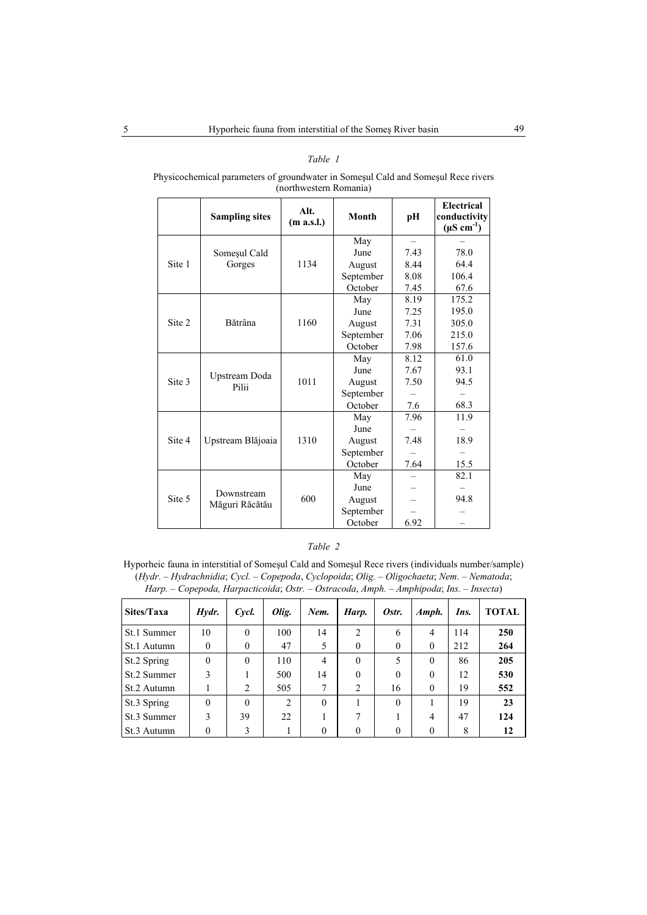# *Table 1*

Physicochemical parameters of groundwater in Someşul Cald and Someşul Rece rivers (northwestern Romania)

|        | <b>Sampling sites</b>  | Alt.<br>(m a.s.l.) | <b>Month</b> | pH   | Electrical<br>conductivity<br>$(\mu S \text{ cm}^{-1})$ |
|--------|------------------------|--------------------|--------------|------|---------------------------------------------------------|
|        |                        |                    | May          |      |                                                         |
|        | Someșul Cald           |                    | June         | 7.43 | 78.0                                                    |
| Site 1 | Gorges                 | 1134               | August       | 8.44 | 64.4                                                    |
|        |                        |                    | September    | 8.08 | 106.4                                                   |
|        |                        |                    | October      | 7.45 | 67.6                                                    |
|        |                        |                    | May          | 8.19 | 175.2                                                   |
|        |                        |                    | June         | 7.25 | 195.0                                                   |
| Site 2 | Bătrâna                | 1160               | August       | 7.31 | 305.0                                                   |
|        |                        |                    | September    | 7.06 | 215.0                                                   |
|        |                        |                    | October      | 7.98 | 157.6                                                   |
|        |                        |                    | May          | 8.12 | 61.0                                                    |
|        |                        |                    | June         | 7.67 | 93.1                                                    |
| Site 3 | Upstream Doda<br>Pilii | 1011               | August       | 7.50 | 94.5                                                    |
|        |                        |                    | September    |      |                                                         |
|        |                        |                    | October      | 7.6  | 68.3                                                    |
|        |                        |                    | May          | 7.96 | 11.9                                                    |
|        |                        |                    | June         |      |                                                         |
| Site 4 | Upstream Blăjoaia      | 1310               | August       | 7.48 | 18.9                                                    |
|        |                        |                    | September    |      |                                                         |
|        |                        |                    | October      | 7.64 | 15.5                                                    |
|        |                        |                    | May          |      | 82.1                                                    |
|        | Downstream             |                    | June         |      |                                                         |
| Site 5 |                        | 600                | August       |      | 94.8                                                    |
|        | Măguri Răcătău         |                    | September    |      |                                                         |
|        |                        |                    | October      | 6.92 |                                                         |

# *Table 2*

Hyporheic fauna in interstitial of Someşul Cald and Someşul Rece rivers (individuals number/sample) (*Hydr*. – *Hydrachnidia*; *Cycl.* – *Copepoda*, *Cyclopoida*; *Olig.* – *Oligochaeta*; *Nem*. – *Nematoda*; *Harp.* – *Copepoda, Harpacticoida*; *Ostr.* – *Ostracoda*, *Amph.* – *Amphipoda*; *Ins.* – *Insecta*)

| Sites/Taxa  | Hydr.    | Cycl.    | Olig.          | Nem.     | Harp.          | Ostr.    | Amph.          | Ins. | <b>TOTAL</b> |
|-------------|----------|----------|----------------|----------|----------------|----------|----------------|------|--------------|
| St.1 Summer | 10       | $\Omega$ | 100            | 14       | $\overline{c}$ | 6        | 4              | 114  | 250          |
| St.1 Autumn | 0        | $\Omega$ | 47             | 5        | $\theta$       | $\theta$ | $\mathbf{0}$   | 212  | 264          |
| St.2 Spring | $\theta$ | $\Omega$ | 110            | 4        | $\theta$       | 5        | $\theta$       | 86   | 205          |
| St.2 Summer | 3        |          | 500            | 14       | $\theta$       | $\Omega$ | $\theta$       | 12   | 530          |
| St.2 Autumn |          | 2        | 505            | 7        | 2              | 16       | $\theta$       | 19   | 552          |
| St.3 Spring | $\theta$ | $\Omega$ | $\overline{2}$ | $\Omega$ |                | $\Omega$ |                | 19   | 23           |
| St.3 Summer | 3        | 39       | 22             |          | 7              |          | $\overline{4}$ | 47   | 124          |
| St.3 Autumn | $\theta$ | 3        |                | $\theta$ | $\theta$       | $\Omega$ | $\theta$       | 8    | 12           |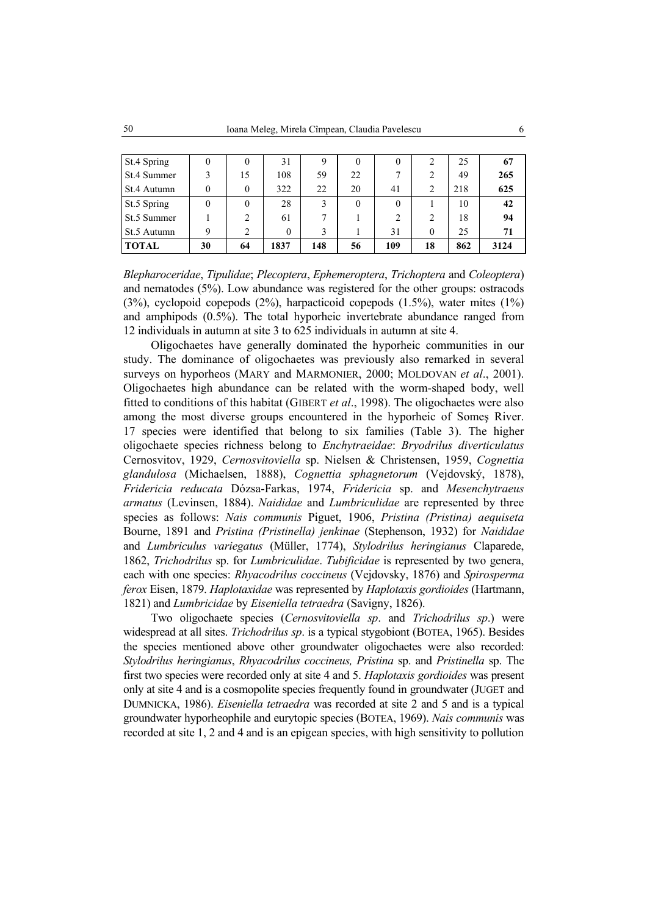| St.4 Spring  | $_{0}$ | $_{0}$         | 31       | 9   | $\bf{0}$ | $\theta$       |          | 25  | 67   |
|--------------|--------|----------------|----------|-----|----------|----------------|----------|-----|------|
| St.4 Summer  |        | 15             | 108      | 59  | 22       | 7              | 2        | 49  | 265  |
| St.4 Autumn  |        | $\theta$       | 322      | 22  | 20       | 41             | 2        | 218 | 625  |
| St.5 Spring  | 0      | $\theta$       | 28       |     | $\theta$ | $\Omega$       |          | 10  | 42   |
| St.5 Summer  |        | 2              | 61       |     |          | $\overline{c}$ | 2        | 18  | 94   |
| St.5 Autumn  | Q      | $\overline{c}$ | $\theta$ |     |          | 31             | $\Omega$ | 25  | 71   |
| <b>TOTAL</b> | 30     | 64             | 1837     | 148 | 56       | 109            | 18       | 862 | 3124 |

*Blepharoceridae*, *Tipulidae*; *Plecoptera*, *Ephemeroptera*, *Trichoptera* and *Coleoptera*) and nematodes (5%). Low abundance was registered for the other groups: ostracods (3%), cyclopoid copepods (2%), harpacticoid copepods (1.5%), water mites (1%) and amphipods (0.5%). The total hyporheic invertebrate abundance ranged from 12 individuals in autumn at site 3 to 625 individuals in autumn at site 4.

Oligochaetes have generally dominated the hyporheic communities in our study. The dominance of oligochaetes was previously also remarked in several surveys on hyporheos (MARY and MARMONIER, 2000; MOLDOVAN *et al*., 2001). Oligochaetes high abundance can be related with the worm-shaped body, well fitted to conditions of this habitat (GIBERT *et al*., 1998). The oligochaetes were also among the most diverse groups encountered in the hyporheic of Someş River. 17 species were identified that belong to six families (Table 3). The higher oligochaete species richness belong to *Enchytraeidae*: *Bryodrilus diverticulatus* Cernosvitov, 1929, *Cernosvitoviella* sp. Nielsen & Christensen, 1959, *Cognettia glandulosa* (Michaelsen, 1888), *Cognettia sphagnetorum* (Vejdovský, 1878), *Fridericia reducata* Dózsa-Farkas, 1974, *Fridericia* sp. and *Mesenchytraeus armatus* (Levinsen, 1884). *Naididae* and *Lumbriculidae* are represented by three species as follows: *Nais communis* Piguet, 1906, *Pristina (Pristina) aequiseta* Bourne, 1891 and *Pristina (Pristinella) jenkinae* (Stephenson, 1932) for *Naididae* and *Lumbriculus variegatus* (Müller, 1774), *Stylodrilus heringianus* Claparede, 1862, *Trichodrilus* sp. for *Lumbriculidae*. *Tubificidae* is represented by two genera, each with one species: *Rhyacodrilus coccineus* (Vejdovsky, 1876) and *Spirosperma ferox* Eisen, 1879. *Haplotaxidae* was represented by *Haplotaxis gordioides* (Hartmann, 1821) and *Lumbricidae* by *Eiseniella tetraedra* (Savigny, 1826).

Two oligochaete species (*Cernosvitoviella sp*. and *Trichodrilus sp*.) were widespread at all sites. *Trichodrilus sp*. is a typical stygobiont (BOTEA, 1965). Besides the species mentioned above other groundwater oligochaetes were also recorded: *Stylodrilus heringianus*, *Rhyacodrilus coccineus, Pristina* sp. and *Pristinella* sp. The first two species were recorded only at site 4 and 5. *Haplotaxis gordioides* was present only at site 4 and is a cosmopolite species frequently found in groundwater (JUGET and DUMNICKA, 1986). *Eiseniella tetraedra* was recorded at site 2 and 5 and is a typical groundwater hyporheophile and eurytopic species (BOTEA, 1969). *Nais communis* was recorded at site 1, 2 and 4 and is an epigean species, with high sensitivity to pollution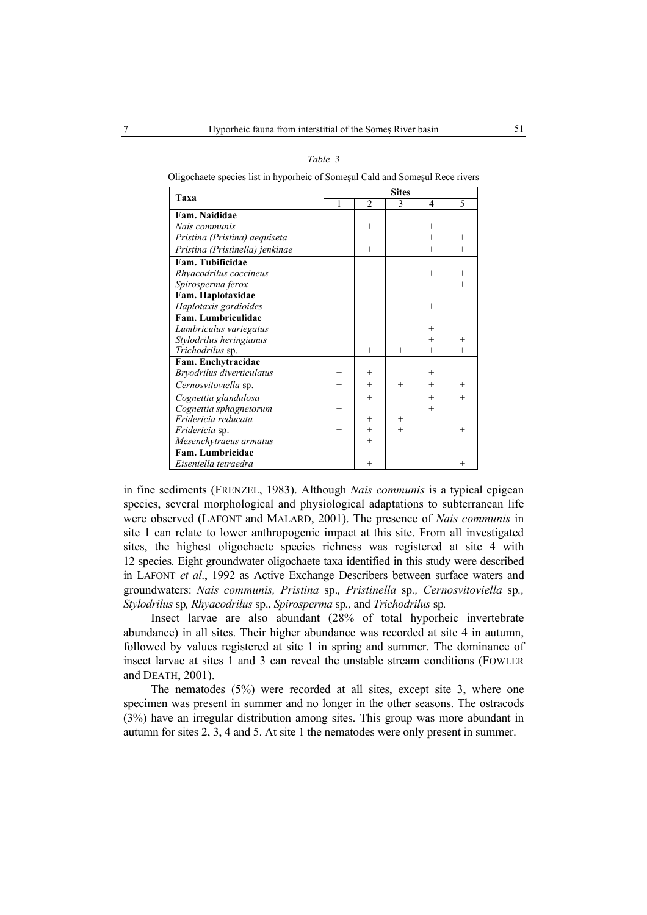| Taxa                            | <b>Sites</b> |                |        |                |        |  |  |
|---------------------------------|--------------|----------------|--------|----------------|--------|--|--|
|                                 | $\mathbf{1}$ | $\overline{2}$ | 3      | $\overline{4}$ | 5      |  |  |
| Fam. Naididae                   |              |                |        |                |        |  |  |
| Nais communis                   | $^{+}$       | $^{+}$         |        | $^{+}$         |        |  |  |
| Pristina (Pristina) aequiseta   | $+$          |                |        | $^{+}$         | $^{+}$ |  |  |
| Pristina (Pristinella) jenkinae | $^{+}$       | $^{+}$         |        | $^{+}$         | $^{+}$ |  |  |
| Fam. Tubificidae                |              |                |        |                |        |  |  |
| Rhyacodrilus coccineus          |              |                |        | $^{+}$         | $^{+}$ |  |  |
| Spirosperma ferox               |              |                |        |                | $^{+}$ |  |  |
| Fam. Haplotaxidae               |              |                |        |                |        |  |  |
| Haplotaxis gordioides           |              |                |        | $^{+}$         |        |  |  |
| Fam. Lumbriculidae              |              |                |        |                |        |  |  |
| Lumbriculus variegatus          |              |                |        | $^{+}$         |        |  |  |
| Stylodrilus heringianus         |              |                |        | $^{+}$         | $^{+}$ |  |  |
| Trichodrilus sp.                | $^{+}$       | $^{+}$         | $^{+}$ | $+$            | $^{+}$ |  |  |
| Fam. Enchytraeidae              |              |                |        |                |        |  |  |
| Bryodrilus diverticulatus       | $^{+}$       | $^{+}$         |        | $+$            |        |  |  |
| Cernosvitoviella sp.            | $^{+}$       | $^{+}$         | $^{+}$ | $+$            | $^{+}$ |  |  |
| Cognettia glandulosa            |              | $^{+}$         |        | $+$            | $^{+}$ |  |  |
| Cognettia sphagnetorum          | $^{+}$       |                |        | $^{+}$         |        |  |  |
| Fridericia reducata             |              | $^{+}$         | $^{+}$ |                |        |  |  |
| <i>Fridericia</i> sp.           | $^{+}$       | $^{+}$         | $^{+}$ |                | $^{+}$ |  |  |
| Mesenchytraeus armatus          |              | $^{+}$         |        |                |        |  |  |
| Fam. Lumbricidae                |              |                |        |                |        |  |  |
| Eiseniella tetraedra            |              | $^{+}$         |        |                | $^{+}$ |  |  |

*Table 3* 

Oligochaete species list in hyporheic of Someşul Cald and Someşul Rece rivers

in fine sediments (FRENZEL, 1983). Although *Nais communis* is a typical epigean species, several morphological and physiological adaptations to subterranean life were observed (LAFONT and MALARD, 2001). The presence of *Nais communis* in site 1 can relate to lower anthropogenic impact at this site. From all investigated sites, the highest oligochaete species richness was registered at site 4 with 12 species. Eight groundwater oligochaete taxa identified in this study were described in LAFONT *et al*., 1992 as Active Exchange Describers between surface waters and groundwaters: *Nais communis, Pristina* sp.*, Pristinella* sp*., Cernosvitoviella* sp*., Stylodrilus* sp*, Rhyacodrilus* sp., *Spirosperma* sp*.,* and *Trichodrilus* sp*.*

Insect larvae are also abundant (28% of total hyporheic invertebrate abundance) in all sites. Their higher abundance was recorded at site 4 in autumn, followed by values registered at site 1 in spring and summer. The dominance of insect larvae at sites 1 and 3 can reveal the unstable stream conditions (FOWLER and DEATH, 2001).

The nematodes (5%) were recorded at all sites, except site 3, where one specimen was present in summer and no longer in the other seasons. The ostracods (3%) have an irregular distribution among sites. This group was more abundant in autumn for sites 2, 3, 4 and 5. At site 1 the nematodes were only present in summer.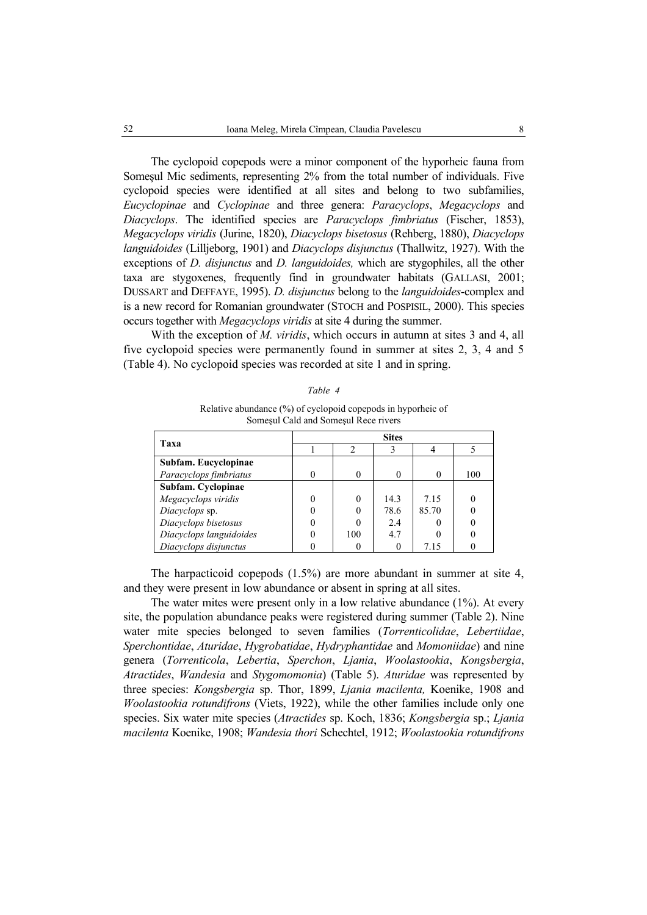The cyclopoid copepods were a minor component of the hyporheic fauna from Someşul Mic sediments, representing 2% from the total number of individuals. Five cyclopoid species were identified at all sites and belong to two subfamilies, *Eucyclopinae* and *Cyclopinae* and three genera: *Paracyclops*, *Megacyclops* and *Diacyclops*. The identified species are *Paracyclops fimbriatus* (Fischer, 1853), *Megacyclops viridis* (Jurine, 1820), *Diacyclops bisetosus* (Rehberg, 1880), *Diacyclops languidoides* (Lilljeborg, 1901) and *Diacyclops disjunctus* (Thallwitz, 1927). With the exceptions of *D. disjunctus* and *D. languidoides,* which are stygophiles, all the other taxa are stygoxenes, frequently find in groundwater habitats (GALLASI, 2001; DUSSART and DEFFAYE, 1995). *D. disjunctus* belong to the *languidoides*-complex and is a new record for Romanian groundwater (STOCH and POSPISIL, 2000). This species occurs together with *Megacyclops viridis* at site 4 during the summer.

With the exception of *M. viridis*, which occurs in autumn at sites 3 and 4, all five cyclopoid species were permanently found in summer at sites 2, 3, 4 and 5 (Table 4). No cyclopoid species was recorded at site 1 and in spring.

|  | ahl |  |  |
|--|-----|--|--|
|--|-----|--|--|

| Relative abundance $(\%)$ of cyclopoid copepods in hyporheic of |
|-----------------------------------------------------------------|
| Somesul Cald and Somesul Rece rivers                            |

| Taxa                    | <b>Sites</b> |     |      |       |     |  |  |
|-------------------------|--------------|-----|------|-------|-----|--|--|
|                         |              |     |      |       |     |  |  |
| Subfam. Eucyclopinae    |              |     |      |       |     |  |  |
| Paracyclops fimbriatus  |              |     |      |       | 100 |  |  |
| Subfam. Cyclopinae      |              |     |      |       |     |  |  |
| Megacyclops viridis     |              |     | 14.3 | 7.15  |     |  |  |
| Diacyclops sp.          |              |     | 78.6 | 85.70 |     |  |  |
| Diacyclops bisetosus    |              |     | 2.4  |       |     |  |  |
| Diacyclops languidoides |              | 100 | 4.7  |       |     |  |  |
| Diacyclops disjunctus   |              |     |      | 7.15  |     |  |  |

The harpacticoid copepods (1.5%) are more abundant in summer at site 4, and they were present in low abundance or absent in spring at all sites.

The water mites were present only in a low relative abundance (1%). At every site, the population abundance peaks were registered during summer (Table 2). Nine water mite species belonged to seven families (*Torrenticolidae*, *Lebertiidae*, *Sperchontidae*, *Aturidae*, *Hygrobatidae*, *Hydryphantidae* and *Momoniidae*) and nine genera (*Torrenticola*, *Lebertia*, *Sperchon*, *Ljania*, *Woolastookia*, *Kongsbergia*, *Atractides*, *Wandesia* and *Stygomomonia*) (Table 5). *Aturidae* was represented by three species: *Kongsbergia* sp. Thor, 1899, *Ljania macilenta,* Koenike, 1908 and *Woolastookia rotundifrons* (Viets, 1922), while the other families include only one species. Six water mite species (*Atractides* sp. Koch, 1836; *Kongsbergia* sp.; *Ljania macilenta* Koenike, 1908; *Wandesia thori* Schechtel, 1912; *Woolastookia rotundifrons*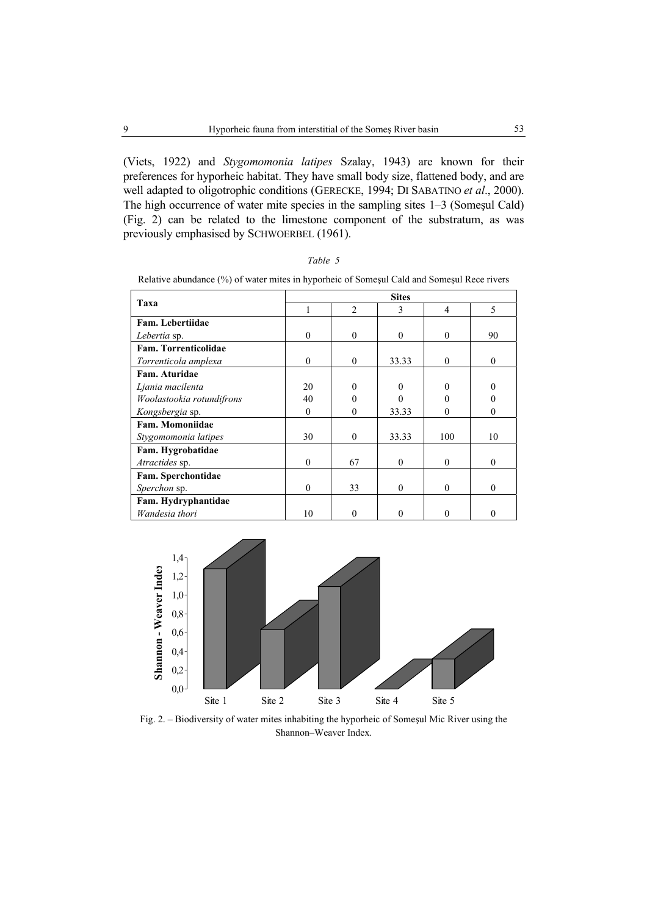(Viets, 1922) and *Stygomomonia latipes* Szalay, 1943) are known for their preferences for hyporheic habitat. They have small body size, flattened body, and are well adapted to oligotrophic conditions (GERECKE, 1994; DI SABATINO *et al*., 2000). The high occurrence of water mite species in the sampling sites 1–3 (Someşul Cald) (Fig. 2) can be related to the limestone component of the substratum, as was previously emphasised by SCHWOERBEL (1961).

| ۰, |  |
|----|--|
|----|--|

Relative abundance (%) of water mites in hyporheic of Someşul Cald and Someşul Rece rivers

| Taxa                      | <b>Sites</b> |                |          |          |              |  |  |
|---------------------------|--------------|----------------|----------|----------|--------------|--|--|
|                           |              | $\mathfrak{D}$ | 3        | 4        | 5            |  |  |
| Fam. Lebertiidae          |              |                |          |          |              |  |  |
| Lebertia sp.              | $\mathbf{0}$ | $\theta$       | $\theta$ | $\theta$ | 90           |  |  |
| Fam. Torrenticolidae      |              |                |          |          |              |  |  |
| Torrenticola amplexa      | $\theta$     | $\theta$       | 33.33    | $\Omega$ | $\theta$     |  |  |
| Fam. Aturidae             |              |                |          |          |              |  |  |
| Ljania macilenta          | 20           | $\theta$       | 0        | 0        | 0            |  |  |
| Woolastookia rotundifrons | 40           |                |          |          | 0            |  |  |
| Kongsbergia sp.           | $\theta$     | $\Omega$       | 33.33    | $\theta$ | $\mathbf{0}$ |  |  |
| Fam. Momoniidae           |              |                |          |          |              |  |  |
| Stygomomonia latipes      | 30           | $\theta$       | 33.33    | 100      | 10           |  |  |
| Fam. Hygrobatidae         |              |                |          |          |              |  |  |
| Atractides sp.            | $\theta$     | 67             | $\theta$ | $\Omega$ | $\theta$     |  |  |
| Fam. Sperchontidae        |              |                |          |          |              |  |  |
| Sperchon sp.              | $\theta$     | 33             | $\theta$ | $\Omega$ | $\Omega$     |  |  |
| Fam. Hydryphantidae       |              |                |          |          |              |  |  |
| Wandesia thori            | 10           | 0              | 0        |          | 0            |  |  |



Fig. 2. – Biodiversity of water mites inhabiting the hyporheic of Someşul Mic River using the Shannon–Weaver Index.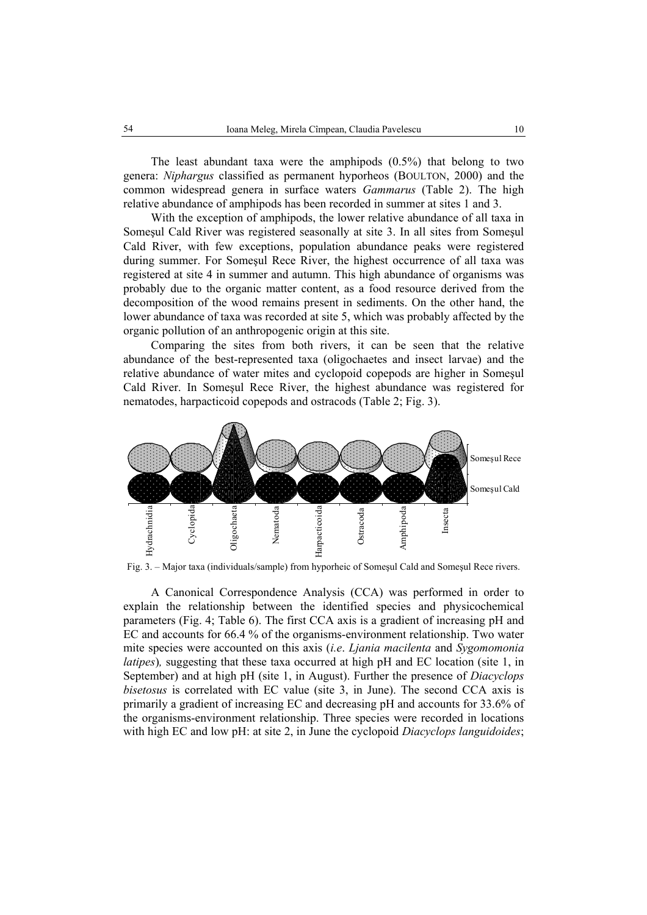The least abundant taxa were the amphipods (0.5%) that belong to two genera: *Niphargus* classified as permanent hyporheos (BOULTON, 2000) and the common widespread genera in surface waters *Gammarus* (Table 2). The high relative abundance of amphipods has been recorded in summer at sites 1 and 3.

With the exception of amphipods, the lower relative abundance of all taxa in Someşul Cald River was registered seasonally at site 3. In all sites from Someşul Cald River, with few exceptions, population abundance peaks were registered during summer. For Someşul Rece River, the highest occurrence of all taxa was registered at site 4 in summer and autumn. This high abundance of organisms was probably due to the organic matter content, as a food resource derived from the decomposition of the wood remains present in sediments. On the other hand, the lower abundance of taxa was recorded at site 5, which was probably affected by the organic pollution of an anthropogenic origin at this site.

Comparing the sites from both rivers, it can be seen that the relative abundance of the best-represented taxa (oligochaetes and insect larvae) and the relative abundance of water mites and cyclopoid copepods are higher in Someşul Cald River. In Someşul Rece River, the highest abundance was registered for nematodes, harpacticoid copepods and ostracods (Table 2; Fig. 3).



Fig. 3. – Major taxa (individuals/sample) from hyporheic of Someşul Cald and Someşul Rece rivers.

A Canonical Correspondence Analysis (CCA) was performed in order to explain the relationship between the identified species and physicochemical parameters (Fig. 4; Table 6). The first CCA axis is a gradient of increasing pH and EC and accounts for 66.4 % of the organisms-environment relationship. Two water mite species were accounted on this axis (*i.e*. *Ljania macilenta* and *Sygomomonia latipes*), suggesting that these taxa occurred at high pH and EC location (site 1, in September) and at high pH (site 1, in August). Further the presence of *Diacyclops bisetosus* is correlated with EC value (site 3, in June). The second CCA axis is primarily a gradient of increasing EC and decreasing pH and accounts for 33.6% of the organisms-environment relationship. Three species were recorded in locations with high EC and low pH: at site 2, in June the cyclopoid *Diacyclops languidoides*;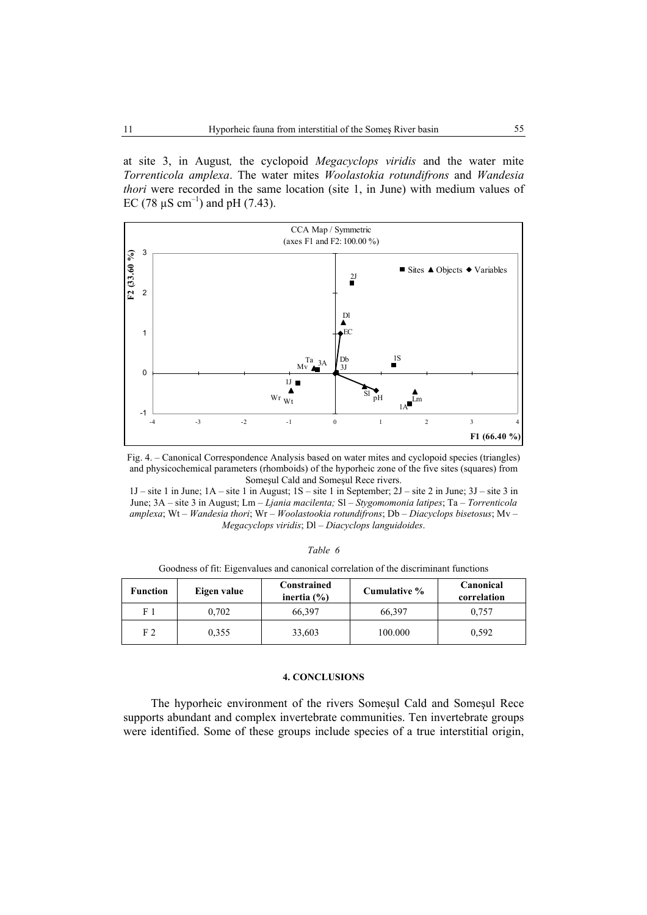at site 3, in August*,* the cyclopoid *Megacyclops viridis* and the water mite *Torrenticola amplexa*. The water mites *Woolastokia rotundifrons* and *Wandesia thori* were recorded in the same location (site 1, in June) with medium values of EC (78  $\mu$ S cm<sup>-1</sup>) and pH (7.43).



Fig. 4. – Canonical Correspondence Analysis based on water mites and cyclopoid species (triangles) and physicochemical parameters (rhomboids) of the hyporheic zone of the five sites (squares) from Someşul Cald and Someşul Rece rivers.

1J – site 1 in June; 1A – site 1 in August; 1S – site 1 in September; 2J – site 2 in June; 3J – site 3 in June; 3A – site 3 in August; Lm – *Ljania macilenta;* Sl – *Stygomomonia latipes*; Ta – *Torrenticola amplexa*; Wt – *Wandesia thori*; Wr – *Woolastookia rotundifrons*; Db – *Diacyclops bisetosus*; Mv – *Megacyclops viridis*; Dl – *Diacyclops languidoides*.

| Table |  |
|-------|--|
|       |  |

Goodness of fit: Eigenvalues and canonical correlation of the discriminant functions

| <b>Function</b> | Eigen value | Constrained<br>inertia $(\% )$ | Cumulative % | Canonical<br>correlation |
|-----------------|-------------|--------------------------------|--------------|--------------------------|
| F 1             | 0.702       | 66,397                         | 66,397       | 0.757                    |
| F <sub>2</sub>  | 0.355       | 33,603                         | 100.000      | 0.592                    |

#### **4. CONCLUSIONS**

The hyporheic environment of the rivers Someşul Cald and Someşul Rece supports abundant and complex invertebrate communities. Ten invertebrate groups were identified. Some of these groups include species of a true interstitial origin,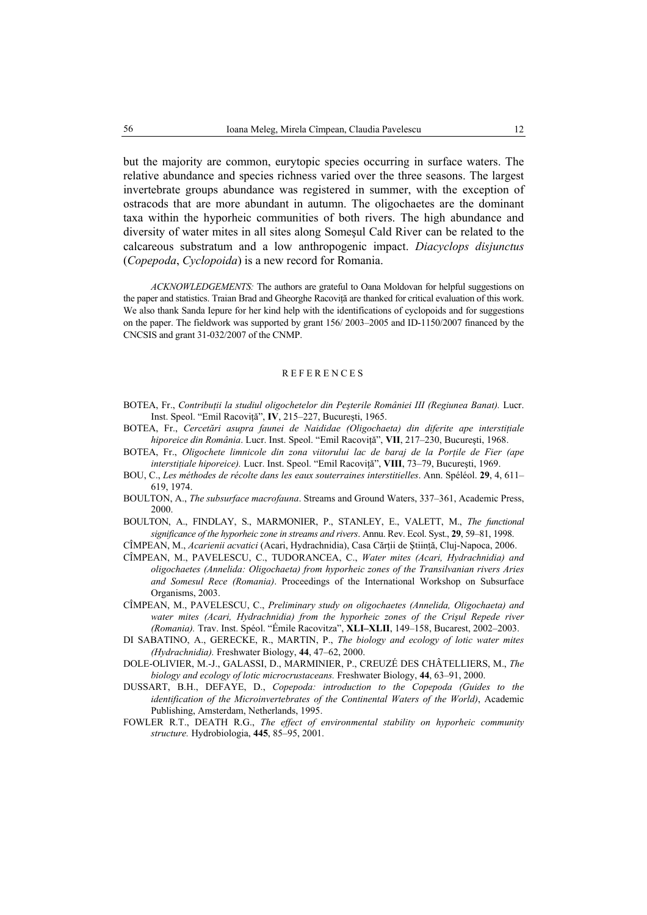but the majority are common, eurytopic species occurring in surface waters. The relative abundance and species richness varied over the three seasons. The largest invertebrate groups abundance was registered in summer, with the exception of ostracods that are more abundant in autumn. The oligochaetes are the dominant taxa within the hyporheic communities of both rivers. The high abundance and diversity of water mites in all sites along Someşul Cald River can be related to the calcareous substratum and a low anthropogenic impact. *Diacyclops disjunctus* (*Copepoda*, *Cyclopoida*) is a new record for Romania.

*ACKNOWLEDGEMENTS:* The authors are grateful to Oana Moldovan for helpful suggestions on the paper and statistics. Traian Brad and Gheorghe Racoviţă are thanked for critical evaluation of this work. We also thank Sanda Iepure for her kind help with the identifications of cyclopoids and for suggestions on the paper. The fieldwork was supported by grant 156/ 2003–2005 and ID-1150/2007 financed by the CNCSIS and grant 31-032/2007 of the CNMP.

#### **REFERENCES**

- BOTEA, Fr., *Contribuţii la studiul oligochetelor din Peşterile României III (Regiunea Banat).* Lucr. Inst. Speol. "Emil Racoviţă", **IV**, 215–227, Bucureşti, 1965.
- BOTEA, Fr., *Cercetări asupra faunei de Naididae (Oligochaeta) din diferite ape interstiţiale hiporeice din România*. Lucr. Inst. Speol. "Emil Racoviţă", **VII**, 217–230, Bucureşti, 1968.
- BOTEA, Fr., *Oligochete limnicole din zona viitorului lac de baraj de la Portile de Fier (ape interstiţiale hiporeice).* Lucr. Inst. Speol. "Emil Racoviţă", **VIII**, 73–79, Bucureşti, 1969.
- BOU, C., *Les méthodes de récolte dans les eaux souterraines interstitielles*. Ann. Spéléol. **29**, 4, 611– 619, 1974.
- BOULTON, A., *The subsurface macrofauna*. Streams and Ground Waters, 337–361, Academic Press, 2000.
- BOULTON, A., FINDLAY, S., MARMONIER, P., STANLEY, E., VALETT, M., *The functional significance of the hyporheic zone in streams and rivers*. Annu. Rev. Ecol. Syst., **29**, 59–81, 1998.

CÎMPEAN, M., *Acarienii acvatici* (Acari, Hydrachnidia), Casa Cărții de Știință, Cluj-Napoca, 2006.

- CÎMPEAN, M., PAVELESCU, C., TUDORANCEA, C., *Water mites (Acari, Hydrachnidia) and oligochaetes (Annelida: Oligochaeta) from hyporheic zones of the Transilvanian rivers Aries and Somesul Rece (Romania)*. Proceedings of the International Workshop on Subsurface Organisms, 2003.
- CÎMPEAN, M., PAVELESCU, C., *Preliminary study on oligochaetes (Annelida, Oligochaeta) and*  water mites (Acari, Hydrachnidia) from the hyporheic zones of the Crișul Repede river *(Romania).* Trav. Inst. Spéol. "Émile Racovitza", **XLI–XLII**, 149–158, Bucarest, 2002–2003.
- DI SABATINO, A., GERECKE, R., MARTIN, P., *The biology and ecology of lotic water mites (Hydrachnidia).* Freshwater Biology, **44**, 47–62, 2000.
- DOLE-OLIVIER, M.-J., GALASSI, D., MARMINIER, P., CREUZÉ DES CHÂTELLIERS, M., *The biology and ecology of lotic microcrustaceans.* Freshwater Biology, **44**, 63–91, 2000.
- DUSSART, B.H., DEFAYE, D., *Copepoda: introduction to the Copepoda (Guides to the identification of the Microinvertebrates of the Continental Waters of the World)*, Academic Publishing, Amsterdam, Netherlands, 1995.
- FOWLER R.T., DEATH R.G., *The effect of environmental stability on hyporheic community structure.* Hydrobiologia, **445**, 85–95, 2001.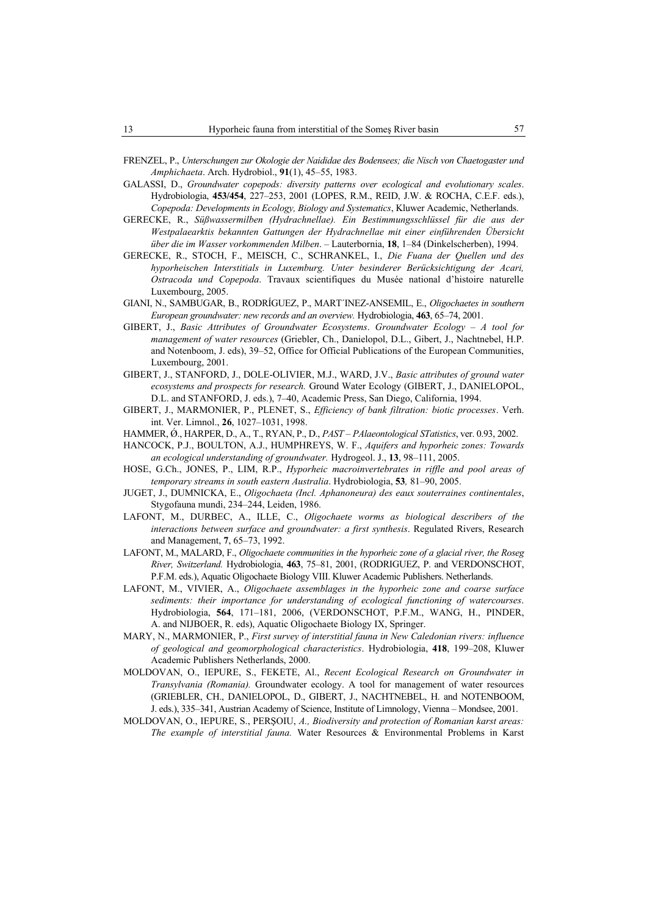- FRENZEL, P., *Unterschungen zur Okologie der Naididae des Bodensees; die Nisch von Chaetogaster und Amphichaeta*. Arch. Hydrobiol., **91**(1), 45–55, 1983.
- GALASSI, D., *Groundwater copepods: diversity patterns over ecological and evolutionary scales*. Hydrobiologia, **453/454**, 227–253, 2001 (LOPES, R.M., REID, J.W. & ROCHA, C.E.F. eds.), *Copepoda: Developments in Ecology, Biology and Systematics*, Kluwer Academic, Netherlands.
- GERECKE, R., *Süßwassermilben (Hydrachnellae). Ein Bestimmungsschlüssel für die aus der Westpalaearktis bekannten Gattungen der Hydrachnellae mit einer einführenden Übersicht über die im Wasser vorkommenden Milben*. – Lauterbornia, **18**, 1–84 (Dinkelscherben), 1994.
- GERECKE, R., STOCH, F., MEISCH, C., SCHRANKEL, I., *Die Fuana der Quellen und des hyporheischen Interstitials in Luxemburg. Unter besinderer Berücksichtigung der Acari, Ostracoda und Copepoda*. Travaux scientifiques du Musée national d'histoire naturelle Luxembourg, 2005.
- GIANI, N., SAMBUGAR, B., RODRÍGUEZ, P., MART´INEZ-ANSEMIL, E., *Oligochaetes in southern European groundwater: new records and an overview.* Hydrobiologia, **463**, 65–74, 2001.
- GIBERT, J., *Basic Attributes of Groundwater Ecosystems*. *Groundwater Ecology A tool for management of water resources* (Griebler, Ch., Danielopol, D.L., Gibert, J., Nachtnebel, H.P. and Notenboom, J. eds), 39–52, Office for Official Publications of the European Communities, Luxembourg, 2001.
- GIBERT, J., STANFORD, J., DOLE-OLIVIER, M.J., WARD, J.V., *Basic attributes of ground water ecosystems and prospects for research.* Ground Water Ecology (GIBERT, J., DANIELOPOL, D.L. and STANFORD, J. eds.), 7–40, Academic Press, San Diego, California, 1994.
- GIBERT, J., MARMONIER, P., PLENET, S., *Efficiency of bank filtration: biotic processes*. Verh. int. Ver. Limnol., **26**, 1027–1031, 1998.
- HAMMER, Ó., HARPER, D., A., T., RYAN, P., D., *PAST PAlaeontological STatistics*, ver. 0.93, 2002.
- HANCOCK, P.J., BOULTON, A.J., HUMPHREYS, W. F., *Aquifers and hyporheic zones: Towards an ecological understanding of groundwater.* Hydrogeol. J., **13**, 98–111, 2005.
- HOSE, G.Ch., JONES, P., LIM, R.P., *Hyporheic macroinvertebrates in riffle and pool areas of temporary streams in south eastern Australia*. Hydrobiologia, **53***,* 81–90, 2005.
- JUGET, J., DUMNICKA, E., *Oligochaeta (Incl. Aphanoneura) des eaux souterraines continentales*, Stygofauna mundi, 234–244, Leiden, 1986.
- LAFONT, M., DURBEC, A., ILLE, C., *Oligochaete worms as biological describers of the interactions between surface and groundwater: a first synthesis*. Regulated Rivers, Research and Management, **7**, 65–73, 1992.
- LAFONT, M., MALARD, F., *Oligochaete communities in the hyporheic zone of a glacial river, the Roseg River, Switzerland.* Hydrobiologia, **463**, 75–81, 2001, (RODRIGUEZ, P. and VERDONSCHOT, P.F.M. eds.), Aquatic Oligochaete Biology VIII. Kluwer Academic Publishers. Netherlands.
- LAFONT, M., VIVIER, A., *Oligochaete assemblages in the hyporheic zone and coarse surface sediments: their importance for understanding of ecological functioning of watercourses*. Hydrobiologia, **564**, 171–181, 2006, (VERDONSCHOT, P.F.M., WANG, H., PINDER, A. and NIJBOER, R. eds), Aquatic Oligochaete Biology IX, Springer.
- MARY, N., MARMONIER, P., *First survey of interstitial fauna in New Caledonian rivers: influence of geological and geomorphological characteristics*. Hydrobiologia, **418**, 199–208, Kluwer Academic Publishers Netherlands, 2000.
- MOLDOVAN, O., IEPURE, S., FEKETE, Al., *Recent Ecological Research on Groundwater in Transylvania (Romania).* Groundwater ecology. A tool for management of water resources (GRIEBLER, CH., DANIELOPOL, D., GIBERT, J., NACHTNEBEL, H. and NOTENBOOM, J. eds.), 335–341, Austrian Academy of Science, Institute of Limnology, Vienna – Mondsee, 2001.
- MOLDOVAN, O., IEPURE, S., PERŞOIU, *A., Biodiversity and protection of Romanian karst areas: The example of interstitial fauna.* Water Resources & Environmental Problems in Karst